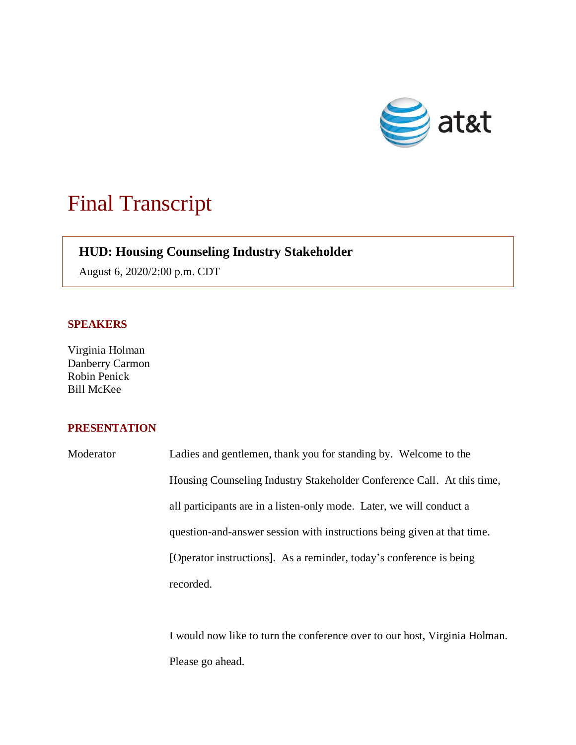

## Final Transcript

## **HUD: Housing Counseling Industry Stakeholder**

August 6, 2020/2:00 p.m. CDT

## **SPEAKERS**

Virginia Holman Danberry Carmon Robin Penick Bill McKee

## **PRESENTATION**

Moderator Ladies and gentlemen, thank you for standing by. Welcome to the Housing Counseling Industry Stakeholder Conference Call. At this time, all participants are in a listen-only mode. Later, we will conduct a question-and-answer session with instructions being given at that time. [Operator instructions]. As a reminder, today's conference is being recorded.

> I would now like to turn the conference over to our host, Virginia Holman. Please go ahead.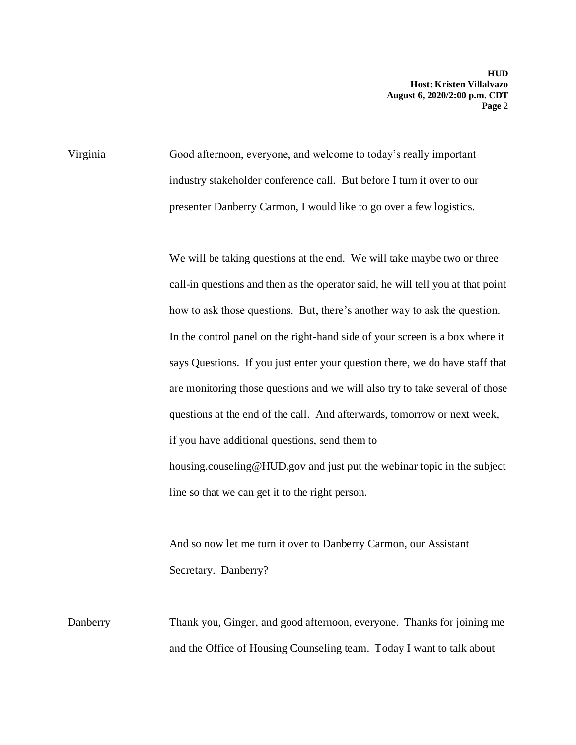Virginia Good afternoon, everyone, and welcome to today's really important industry stakeholder conference call. But before I turn it over to our presenter Danberry Carmon, I would like to go over a few logistics.

> We will be taking questions at the end. We will take maybe two or three call-in questions and then as the operator said, he will tell you at that point how to ask those questions. But, there's another way to ask the question. In the control panel on the right-hand side of your screen is a box where it says Questions. If you just enter your question there, we do have staff that are monitoring those questions and we will also try to take several of those questions at the end of the call. And afterwards, tomorrow or next week, if you have additional questions, send them to housing.couseling@HUD.gov and just put the webinar topic in the subject line so that we can get it to the right person.

And so now let me turn it over to Danberry Carmon, our Assistant Secretary. Danberry?

Danberry Thank you, Ginger, and good afternoon, everyone. Thanks for joining me and the Office of Housing Counseling team. Today I want to talk about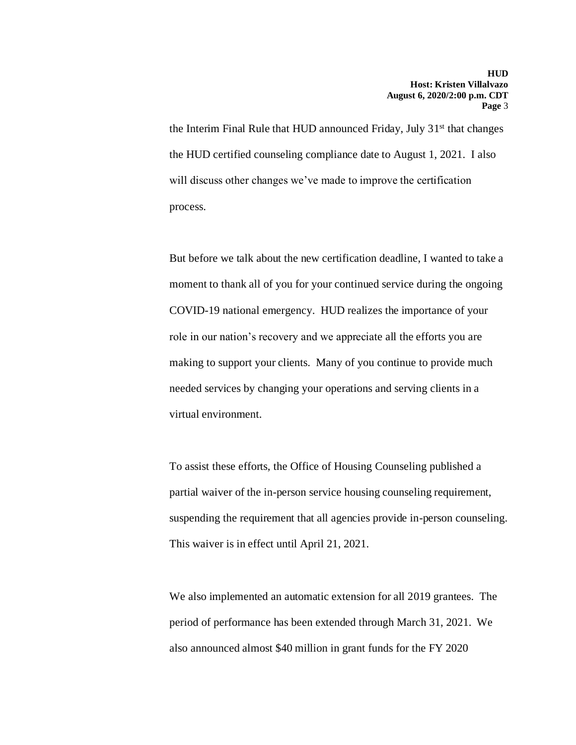the Interim Final Rule that HUD announced Friday, July 31<sup>st</sup> that changes the HUD certified counseling compliance date to August 1, 2021. I also will discuss other changes we've made to improve the certification process.

But before we talk about the new certification deadline, I wanted to take a moment to thank all of you for your continued service during the ongoing COVID-19 national emergency. HUD realizes the importance of your role in our nation's recovery and we appreciate all the efforts you are making to support your clients. Many of you continue to provide much needed services by changing your operations and serving clients in a virtual environment.

To assist these efforts, the Office of Housing Counseling published a partial waiver of the in-person service housing counseling requirement, suspending the requirement that all agencies provide in-person counseling. This waiver is in effect until April 21, 2021.

We also implemented an automatic extension for all 2019 grantees. The period of performance has been extended through March 31, 2021. We also announced almost \$40 million in grant funds for the FY 2020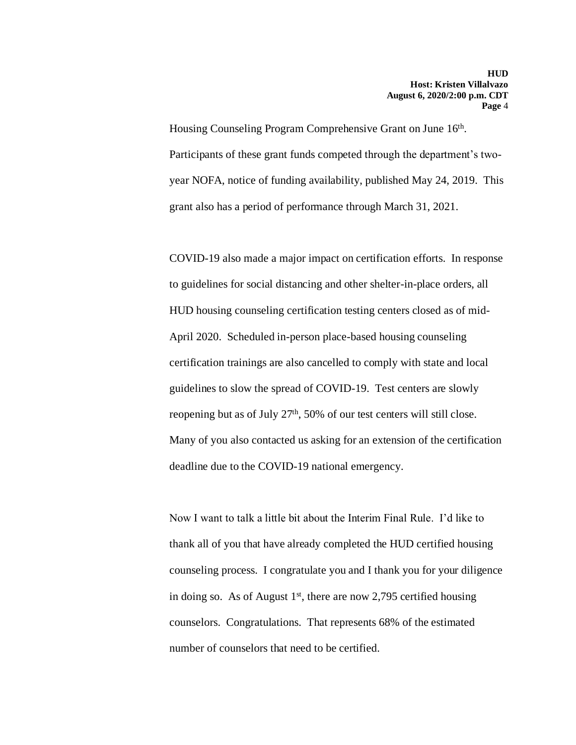Housing Counseling Program Comprehensive Grant on June 16<sup>th</sup>. Participants of these grant funds competed through the department's twoyear NOFA, notice of funding availability, published May 24, 2019. This grant also has a period of performance through March 31, 2021.

COVID-19 also made a major impact on certification efforts. In response to guidelines for social distancing and other shelter-in-place orders, all HUD housing counseling certification testing centers closed as of mid-April 2020. Scheduled in-person place-based housing counseling certification trainings are also cancelled to comply with state and local guidelines to slow the spread of COVID-19. Test centers are slowly reopening but as of July 27<sup>th</sup>, 50% of our test centers will still close. Many of you also contacted us asking for an extension of the certification deadline due to the COVID-19 national emergency.

Now I want to talk a little bit about the Interim Final Rule. I'd like to thank all of you that have already completed the HUD certified housing counseling process. I congratulate you and I thank you for your diligence in doing so. As of August  $1<sup>st</sup>$ , there are now 2,795 certified housing counselors. Congratulations. That represents 68% of the estimated number of counselors that need to be certified.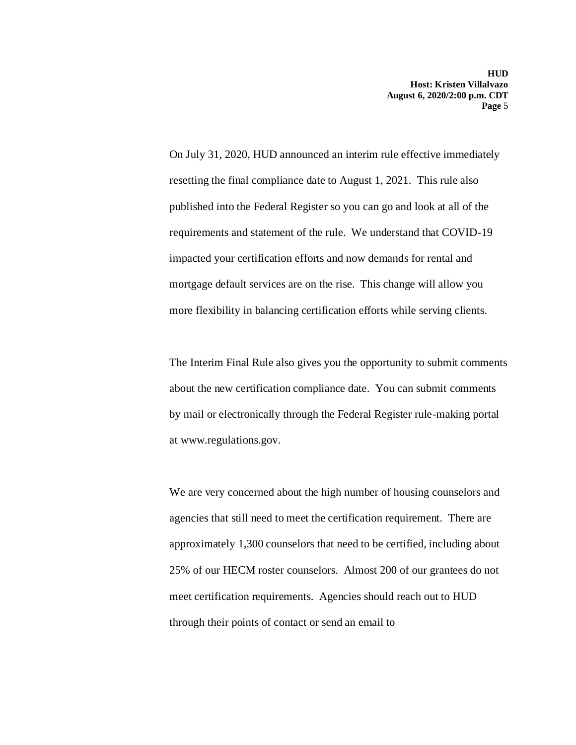On July 31, 2020, HUD announced an interim rule effective immediately resetting the final compliance date to August 1, 2021. This rule also published into the Federal Register so you can go and look at all of the requirements and statement of the rule. We understand that COVID-19 impacted your certification efforts and now demands for rental and mortgage default services are on the rise. This change will allow you more flexibility in balancing certification efforts while serving clients.

The Interim Final Rule also gives you the opportunity to submit comments about the new certification compliance date. You can submit comments by mail or electronically through the Federal Register rule-making portal at www.regulations.gov.

We are very concerned about the high number of housing counselors and agencies that still need to meet the certification requirement. There are approximately 1,300 counselors that need to be certified, including about 25% of our HECM roster counselors. Almost 200 of our grantees do not meet certification requirements. Agencies should reach out to HUD through their points of contact or send an email to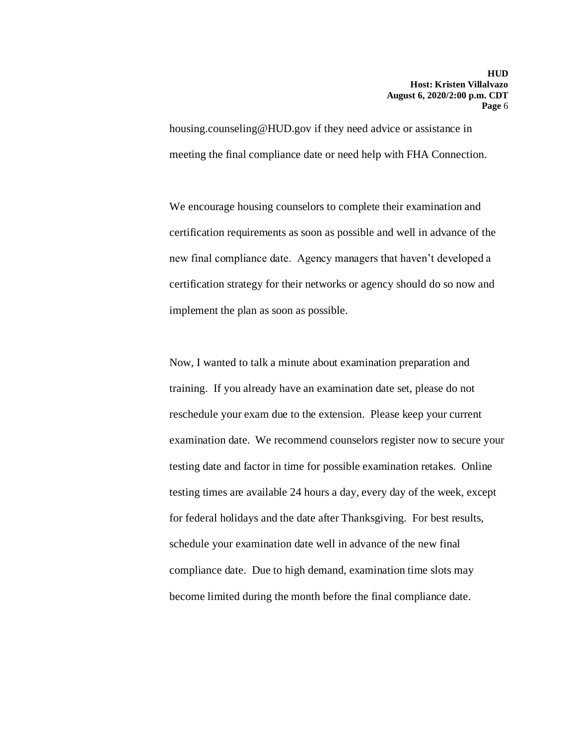housing.counseling@HUD.gov if they need advice or assistance in meeting the final compliance date or need help with FHA Connection.

We encourage housing counselors to complete their examination and certification requirements as soon as possible and well in advance of the new final compliance date. Agency managers that haven't developed a certification strategy for their networks or agency should do so now and implement the plan as soon as possible.

Now, I wanted to talk a minute about examination preparation and training. If you already have an examination date set, please do not reschedule your exam due to the extension. Please keep your current examination date. We recommend counselors register now to secure your testing date and factor in time for possible examination retakes. Online testing times are available 24 hours a day, every day of the week, except for federal holidays and the date after Thanksgiving. For best results, schedule your examination date well in advance of the new final compliance date. Due to high demand, examination time slots may become limited during the month before the final compliance date.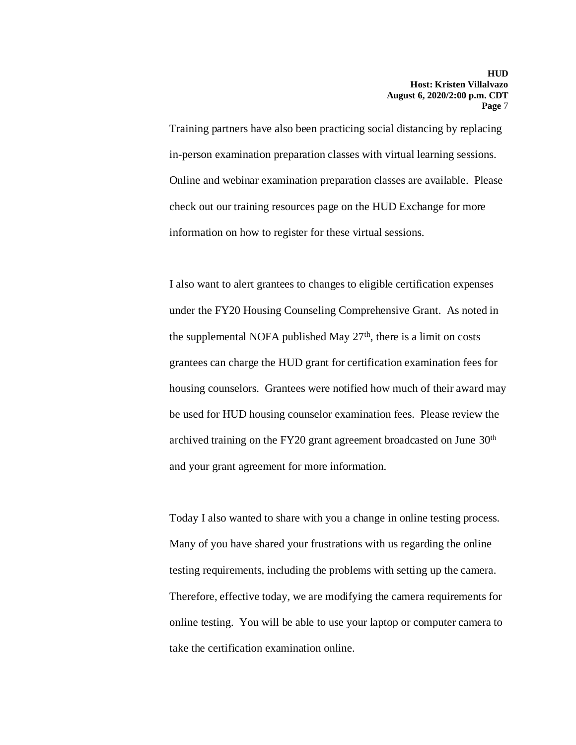Training partners have also been practicing social distancing by replacing in-person examination preparation classes with virtual learning sessions. Online and webinar examination preparation classes are available. Please check out our training resources page on the HUD Exchange for more information on how to register for these virtual sessions.

I also want to alert grantees to changes to eligible certification expenses under the FY20 Housing Counseling Comprehensive Grant. As noted in the supplemental NOFA published May  $27<sup>th</sup>$ , there is a limit on costs grantees can charge the HUD grant for certification examination fees for housing counselors. Grantees were notified how much of their award may be used for HUD housing counselor examination fees. Please review the archived training on the FY20 grant agreement broadcasted on June 30th and your grant agreement for more information.

Today I also wanted to share with you a change in online testing process. Many of you have shared your frustrations with us regarding the online testing requirements, including the problems with setting up the camera. Therefore, effective today, we are modifying the camera requirements for online testing. You will be able to use your laptop or computer camera to take the certification examination online.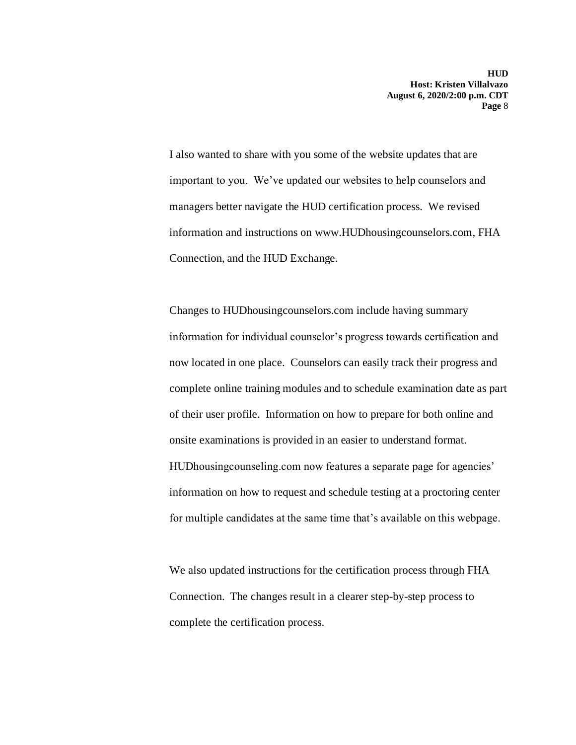I also wanted to share with you some of the website updates that are important to you. We've updated our websites to help counselors and managers better navigate the HUD certification process. We revised information and instructions on www.HUDhousingcounselors.com, FHA Connection, and the HUD Exchange.

Changes to HUDhousingcounselors.com include having summary information for individual counselor's progress towards certification and now located in one place. Counselors can easily track their progress and complete online training modules and to schedule examination date as part of their user profile. Information on how to prepare for both online and onsite examinations is provided in an easier to understand format. HUDhousingcounseling.com now features a separate page for agencies' information on how to request and schedule testing at a proctoring center for multiple candidates at the same time that's available on this webpage.

We also updated instructions for the certification process through FHA Connection. The changes result in a clearer step-by-step process to complete the certification process.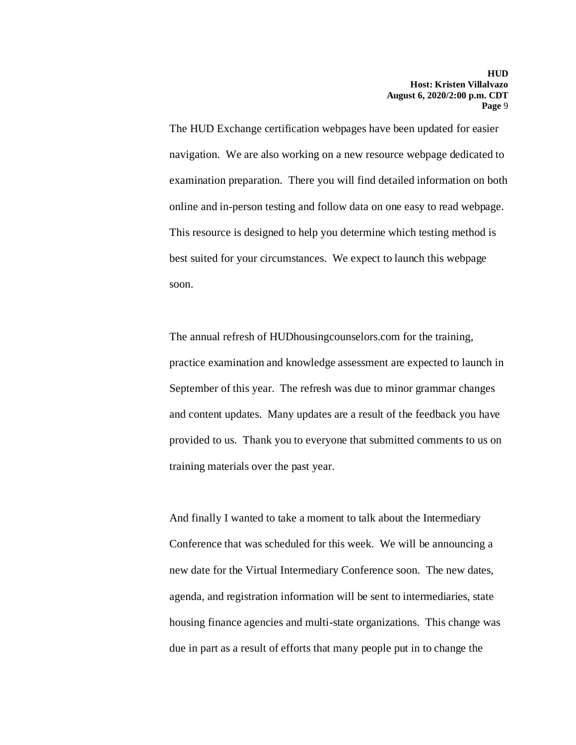The HUD Exchange certification webpages have been updated for easier navigation. We are also working on a new resource webpage dedicated to examination preparation. There you will find detailed information on both online and in-person testing and follow data on one easy to read webpage. This resource is designed to help you determine which testing method is best suited for your circumstances. We expect to launch this webpage soon.

The annual refresh of HUDhousingcounselors.com for the training, practice examination and knowledge assessment are expected to launch in September of this year. The refresh was due to minor grammar changes and content updates. Many updates are a result of the feedback you have provided to us. Thank you to everyone that submitted comments to us on training materials over the past year.

And finally I wanted to take a moment to talk about the Intermediary Conference that was scheduled for this week. We will be announcing a new date for the Virtual Intermediary Conference soon. The new dates, agenda, and registration information will be sent to intermediaries, state housing finance agencies and multi-state organizations. This change was due in part as a result of efforts that many people put in to change the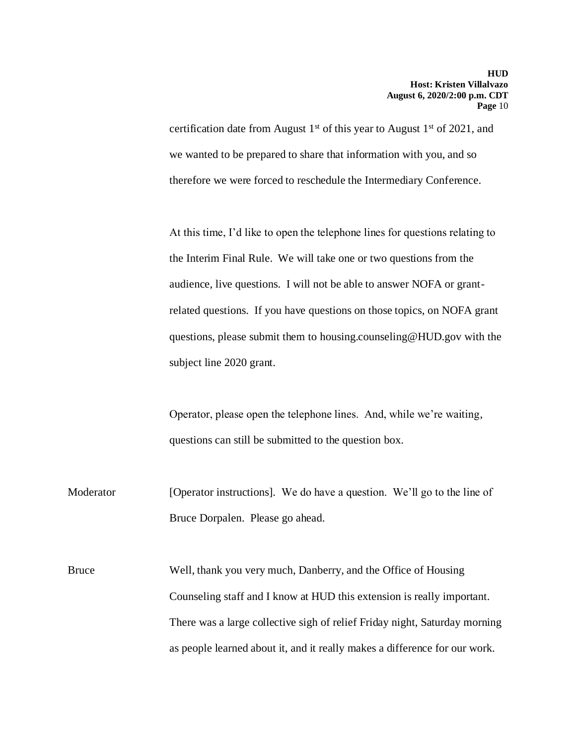certification date from August 1<sup>st</sup> of this year to August 1<sup>st</sup> of 2021, and we wanted to be prepared to share that information with you, and so therefore we were forced to reschedule the Intermediary Conference.

At this time, I'd like to open the telephone lines for questions relating to the Interim Final Rule. We will take one or two questions from the audience, live questions. I will not be able to answer NOFA or grantrelated questions. If you have questions on those topics, on NOFA grant questions, please submit them to housing.counseling@HUD.gov with the subject line 2020 grant.

Operator, please open the telephone lines. And, while we're waiting, questions can still be submitted to the question box.

Moderator [Operator instructions]. We do have a question. We'll go to the line of Bruce Dorpalen. Please go ahead.

Bruce Well, thank you very much, Danberry, and the Office of Housing Counseling staff and I know at HUD this extension is really important. There was a large collective sigh of relief Friday night, Saturday morning as people learned about it, and it really makes a difference for our work.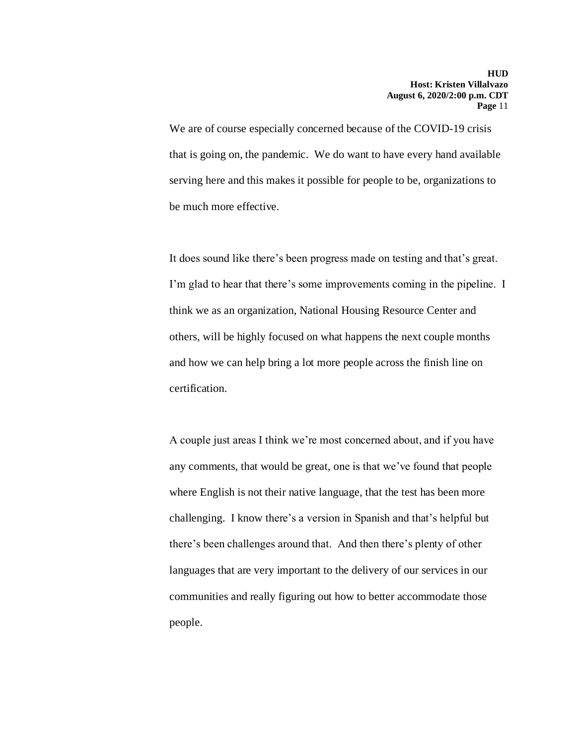We are of course especially concerned because of the COVID-19 crisis that is going on, the pandemic. We do want to have every hand available serving here and this makes it possible for people to be, organizations to be much more effective.

It does sound like there's been progress made on testing and that's great. I'm glad to hear that there's some improvements coming in the pipeline. I think we as an organization, National Housing Resource Center and others, will be highly focused on what happens the next couple months and how we can help bring a lot more people across the finish line on certification.

A couple just areas I think we're most concerned about, and if you have any comments, that would be great, one is that we've found that people where English is not their native language, that the test has been more challenging. I know there's a version in Spanish and that's helpful but there's been challenges around that. And then there's plenty of other languages that are very important to the delivery of our services in our communities and really figuring out how to better accommodate those people.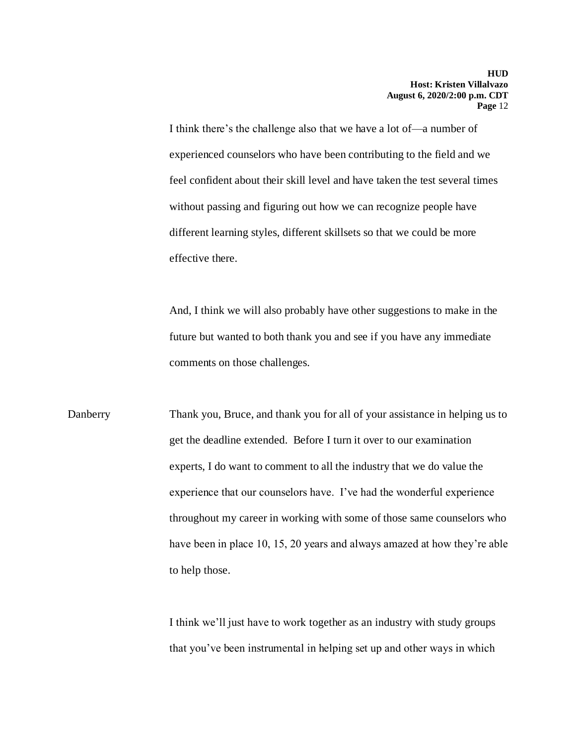I think there's the challenge also that we have a lot of—a number of experienced counselors who have been contributing to the field and we feel confident about their skill level and have taken the test several times without passing and figuring out how we can recognize people have different learning styles, different skillsets so that we could be more effective there.

And, I think we will also probably have other suggestions to make in the future but wanted to both thank you and see if you have any immediate comments on those challenges.

Danberry Thank you, Bruce, and thank you for all of your assistance in helping us to get the deadline extended. Before I turn it over to our examination experts, I do want to comment to all the industry that we do value the experience that our counselors have. I've had the wonderful experience throughout my career in working with some of those same counselors who have been in place 10, 15, 20 years and always amazed at how they're able to help those.

> I think we'll just have to work together as an industry with study groups that you've been instrumental in helping set up and other ways in which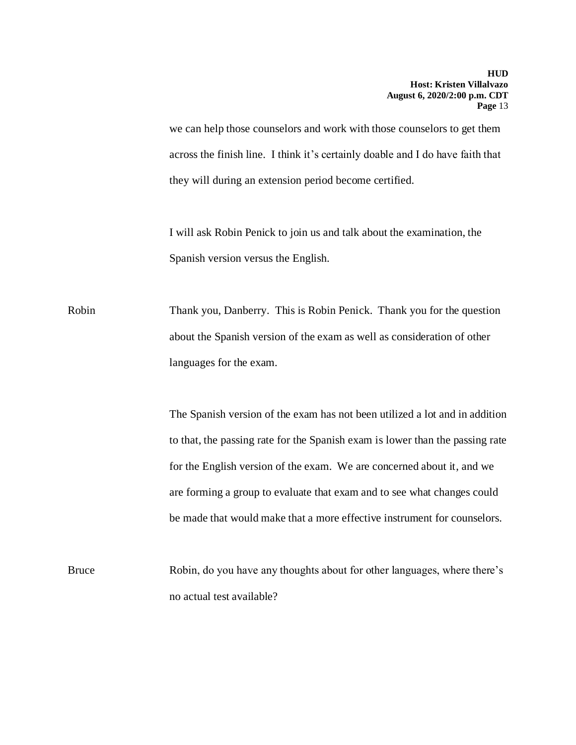we can help those counselors and work with those counselors to get them across the finish line. I think it's certainly doable and I do have faith that they will during an extension period become certified.

I will ask Robin Penick to join us and talk about the examination, the Spanish version versus the English.

Robin Thank you, Danberry. This is Robin Penick. Thank you for the question about the Spanish version of the exam as well as consideration of other languages for the exam.

> The Spanish version of the exam has not been utilized a lot and in addition to that, the passing rate for the Spanish exam is lower than the passing rate for the English version of the exam. We are concerned about it, and we are forming a group to evaluate that exam and to see what changes could be made that would make that a more effective instrument for counselors.

Bruce Robin, do you have any thoughts about for other languages, where there's no actual test available?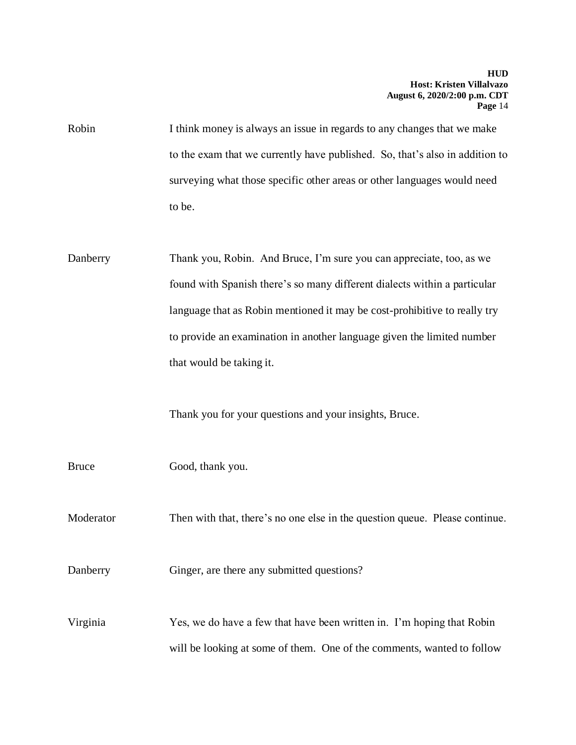Robin I think money is always an issue in regards to any changes that we make to the exam that we currently have published. So, that's also in addition to surveying what those specific other areas or other languages would need to be.

Danberry Thank you, Robin. And Bruce, I'm sure you can appreciate, too, as we found with Spanish there's so many different dialects within a particular language that as Robin mentioned it may be cost-prohibitive to really try to provide an examination in another language given the limited number that would be taking it.

Thank you for your questions and your insights, Bruce.

Bruce Good, thank you.

Moderator Then with that, there's no one else in the question queue. Please continue.

Danberry Ginger, are there any submitted questions?

Virginia Yes, we do have a few that have been written in. I'm hoping that Robin will be looking at some of them. One of the comments, wanted to follow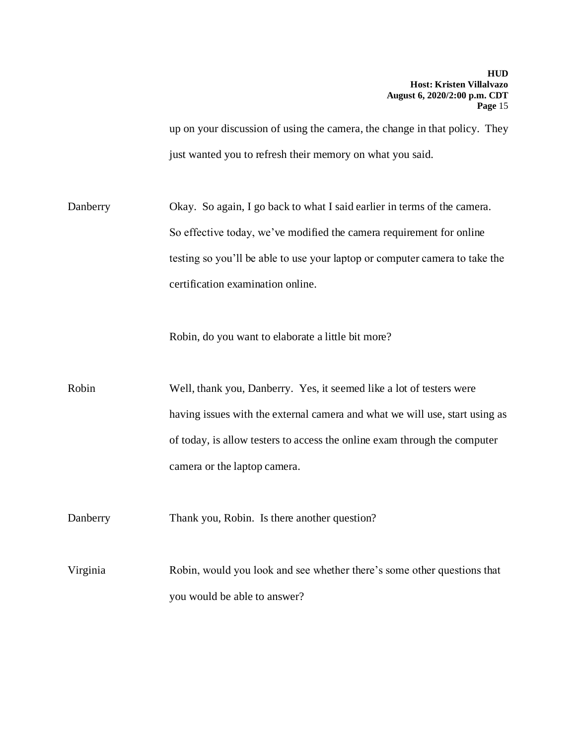up on your discussion of using the camera, the change in that policy. They just wanted you to refresh their memory on what you said.

Danberry Okay. So again, I go back to what I said earlier in terms of the camera. So effective today, we've modified the camera requirement for online testing so you'll be able to use your laptop or computer camera to take the certification examination online.

Robin, do you want to elaborate a little bit more?

Robin Well, thank you, Danberry. Yes, it seemed like a lot of testers were having issues with the external camera and what we will use, start using as of today, is allow testers to access the online exam through the computer camera or the laptop camera.

Danberry Thank you, Robin. Is there another question?

Virginia Robin, would you look and see whether there's some other questions that you would be able to answer?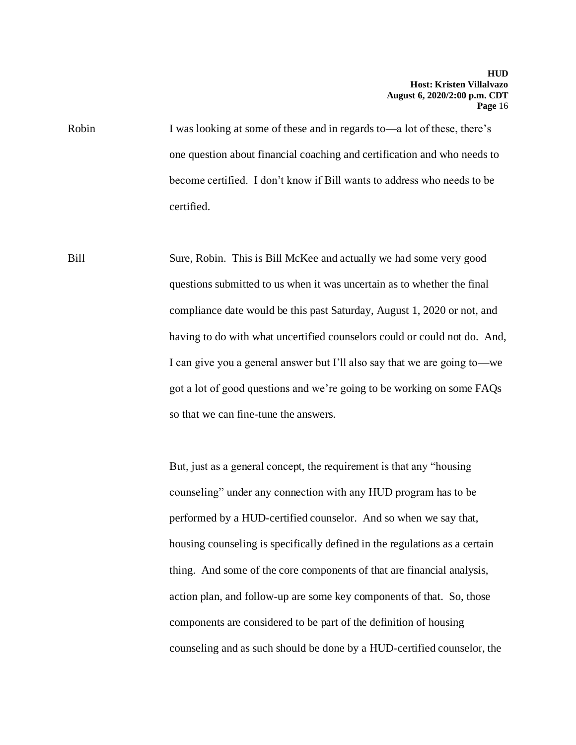Robin I was looking at some of these and in regards to—a lot of these, there's one question about financial coaching and certification and who needs to become certified. I don't know if Bill wants to address who needs to be certified.

Bill Sure, Robin. This is Bill McKee and actually we had some very good questions submitted to us when it was uncertain as to whether the final compliance date would be this past Saturday, August 1, 2020 or not, and having to do with what uncertified counselors could or could not do. And, I can give you a general answer but I'll also say that we are going to—we got a lot of good questions and we're going to be working on some FAQs so that we can fine-tune the answers.

> But, just as a general concept, the requirement is that any "housing counseling" under any connection with any HUD program has to be performed by a HUD-certified counselor. And so when we say that, housing counseling is specifically defined in the regulations as a certain thing. And some of the core components of that are financial analysis, action plan, and follow-up are some key components of that. So, those components are considered to be part of the definition of housing counseling and as such should be done by a HUD-certified counselor, the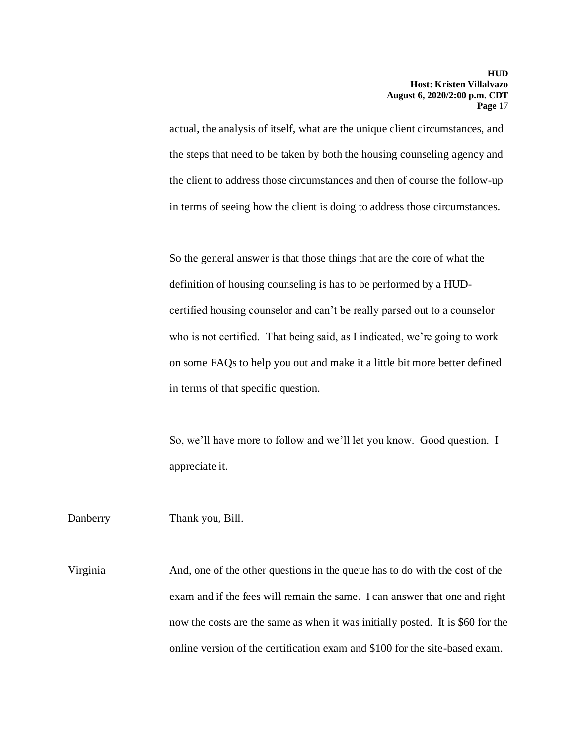actual, the analysis of itself, what are the unique client circumstances, and the steps that need to be taken by both the housing counseling agency and the client to address those circumstances and then of course the follow-up in terms of seeing how the client is doing to address those circumstances.

So the general answer is that those things that are the core of what the definition of housing counseling is has to be performed by a HUDcertified housing counselor and can't be really parsed out to a counselor who is not certified. That being said, as I indicated, we're going to work on some FAQs to help you out and make it a little bit more better defined in terms of that specific question.

So, we'll have more to follow and we'll let you know. Good question. I appreciate it.

Danberry Thank you, Bill.

Virginia And, one of the other questions in the queue has to do with the cost of the exam and if the fees will remain the same. I can answer that one and right now the costs are the same as when it was initially posted. It is \$60 for the online version of the certification exam and \$100 for the site-based exam.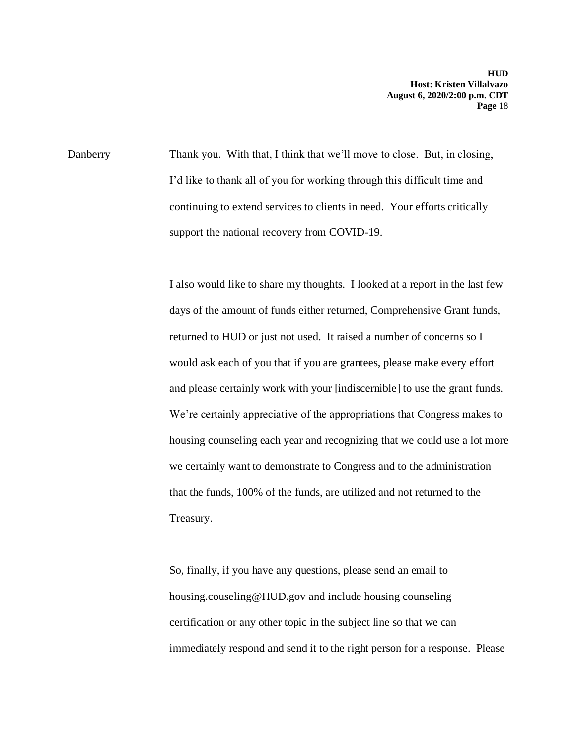Danberry Thank you. With that, I think that we'll move to close. But, in closing, I'd like to thank all of you for working through this difficult time and continuing to extend services to clients in need. Your efforts critically support the national recovery from COVID-19.

> I also would like to share my thoughts. I looked at a report in the last few days of the amount of funds either returned, Comprehensive Grant funds, returned to HUD or just not used. It raised a number of concerns so I would ask each of you that if you are grantees, please make every effort and please certainly work with your [indiscernible] to use the grant funds. We're certainly appreciative of the appropriations that Congress makes to housing counseling each year and recognizing that we could use a lot more we certainly want to demonstrate to Congress and to the administration that the funds, 100% of the funds, are utilized and not returned to the Treasury.

> So, finally, if you have any questions, please send an email to housing.couseling@HUD.gov and include housing counseling certification or any other topic in the subject line so that we can immediately respond and send it to the right person for a response. Please